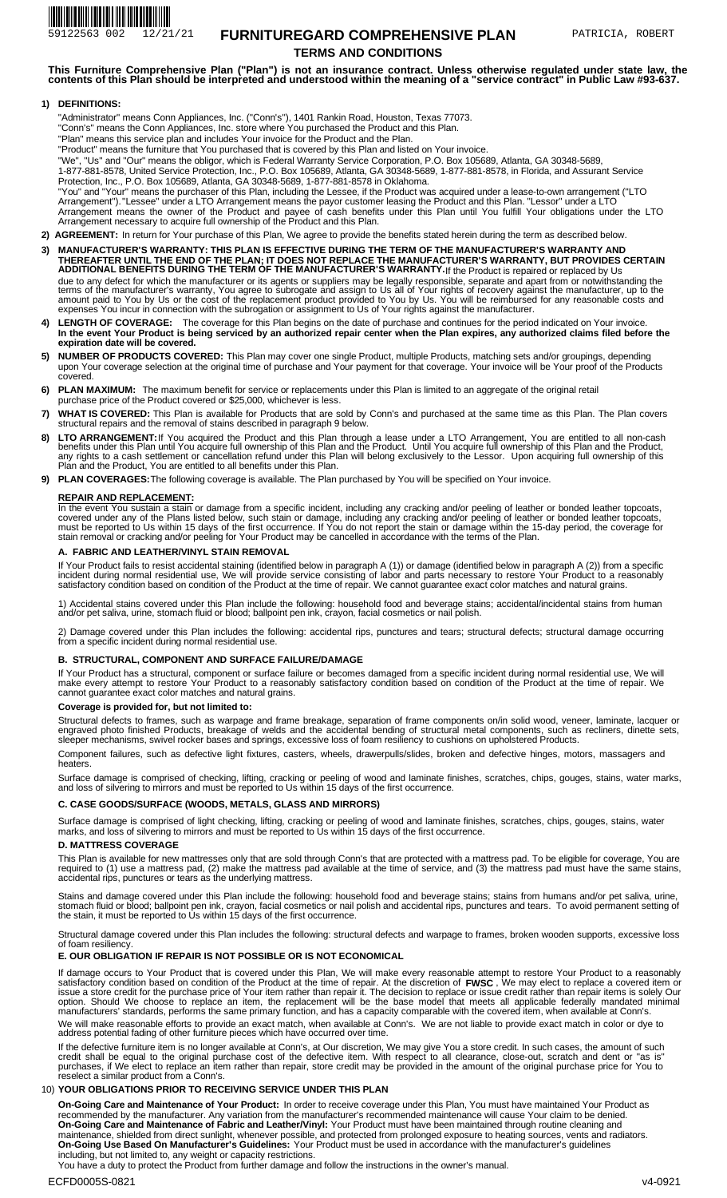# 59122563 002 12/21/21 **FURNITUREGARD COMPREHENSIVE PLAN** PATRICIA, ROBERT **TERMS AND CONDITIONS**

**This Furniture Comprehensive Plan ("Plan") is not an insurance contract. Unless otherwise regulated under state law, the contents of this Plan should be interpreted and understood within the meaning of a "service contract" in Public Law #93-637.** 

## **DEFINITIONS: 1)**

"Administrator" means Conn Appliances, Inc. ("Conn's"), 1401 Rankin Road, Houston, Texas 77073.

"Conn's" means the Conn Appliances, Inc. store where You purchased the Product and this Plan.

"Plan" means this service plan and includes Your invoice for the Product and the Plan.

"Product" means the furniture that You purchased that is covered by this Plan and listed on Your invoice.

"We", "Us" and "Our" means the obligor, which is Federal Warranty Service Corporation, P.O. Box 105689, Atlanta, GA 30348-5689, 1-877-881-8578, United Service Protection, Inc., P.O. Box 105689, Atlanta, GA 30348-5689, 1-877-881-8578, in Florida, and Assurant Service Protection, Inc., P.O. Box 105689, Atlanta, GA 30348-5689, 1-877-881-8578 in Oklahoma.

"You" and "Your" means the purchaser of this Plan, including the Lessee, if the Product was acquired under a lease-to-own arrangement ("LTO<br>Arrangement"). "Lessee" under a LTO Arrangement means the payor customer leasing t Arrangement means the owner of the Product and payee of cash benefits under this Plan until You fulfill Your obligations under the LTO Arrangement necessary to acquire full ownership of the Product and this Plan.

2) AGREEMENT: In return for Your purchase of this Plan, We agree to provide the benefits stated herein during the term as described below.

- **MANUFACTURER'S WARRANTY: THIS PLAN IS EFFECTIVE DURING THE TERM OF THE MANUFACTURER'S WARRANTY AND**  THEREAFTER UNTIL THE END OF THE PLAN; IT DOES NOT REPLACE THE MANUFACTURER'S WARRANTY, BUT PROVIDES CERTAIN<br>ADDITIONAL BENEFITS DURING THE TERM OF THE MANUFACTURER'S WARRANTY.|f the Product is repaired or replaced by Us **3)**  due to any defect for which the manufacturer or its agents or suppliers may be legally responsible, separate and apart from or notwithstanding the<br>terms of the manufacturer's warranty, You agree to subrogate and assign to expenses You incur in connection with the subrogation or assignment to Us of Your rights against the manufacturer.
- LENGTH OF COVERAGE: The coverage for this Plan begins on the date of purchase and continues for the period indicated on Your invoice. **4) In the event Your Product is being serviced by an authorized repair center when the Plan expires, any authorized claims filed before the expiration date will be covered.**
- **NUMBER OF PRODUCTS COVERED:**  This Plan may cover one single Product, multiple Products, matching sets and/or groupings, depending **5)**  upon Your coverage selection at the original time of purchase and Your payment for that coverage. Your invoice will be Your proof of the Products covered.
- **PLAN MAXIMUM:**  The maximum benefit for service or replacements under this Plan is limited to an aggregate of the original retail **6)** purchase price of the Product covered or \$25,000, whichever is less.
- **WHAT IS COVERED:** This Plan is available for Products that are sold by Conn's and purchased at the same time as this Plan. The Plan covers<br>structural repairs and the removal of stains described in paragraph 9 below. **7)**
- **8) LTO ARRANGEMENT:**If You acquired the Product and this Plan through a lease under a LTO Arrangement, You are entitled to all non-cash<br>benefits under this Plan until You acquire full ownership of this Plan and the Product. Plan and the Product, You are entitled to all benefits under this Plan. **LTO ARRANGEMENT:**
- **9) PLAN COVERAGES:** The following coverage is available. The Plan purchased by You will be specified on Your invoice.

## **REPAIR AND REPLACEMENT:**

In the event You sustain a stain or damage from a specific incident, including any cracking and/or peeling of leather or bonded leather topcoats,<br>covered under any of the Plans listed below, such stain or damage, including stain removal or cracking and/or peeling for Your Product may be cancelled in accordance with the terms of the Plan.

#### **A. FABRIC AND LEATHER/VINYL STAIN REMOVAL**

If Your Product fails to resist accidental staining (identified below in paragraph A (1)) or damage (identified below in paragraph A (2)) from a specific<br>incident during normal residential use, We will provide service cons

1) Accidental stains covered under this Plan include the following: household food and beverage stains; accidental/incidental stains from human and/or pet saliva, urine, stomach fluid or blood; ballpoint pen ink, crayon, facial cosmetics or nail polish.

2) Damage covered under this Plan includes the following: accidental rips, punctures and tears; structural defects; structural damage occurring from a specific incident during normal residential use.

## **B. STRUCTURAL, COMPONENT AND SURFACE FAILURE/DAMAGE**

If Your Product has a structural, component or surface failure or becomes damaged from a specific incident during normal residential use, We will<br>make every attempt to restore Your Product to a reasonably satisfactory cond

#### **Coverage is provided for, but not limited to:**

Structural defects to frames, such as warpage and frame breakage, separation of frame components on/in solid wood, veneer, laminate, lacquer or<br>engraved photo finished Products, breakage of welds and the accidental bending sleeper mechanisms, swivel rocker bases and springs, excessive loss of foam resiliency to cushions on upholstered Products.

Component failures, such as defective light fixtures, casters, wheels, drawerpulls/slides, broken and defective hinges, motors, massagers and heaters.

Surface damage is comprised of checking, lifting, cracking or peeling of wood and laminate finishes, scratches, chips, gouges, stains, water marks,<br>and loss of silvering to mirrors and must be reported to Us within 15 days

## **C. CASE GOODS/SURFACE (WOODS, METALS, GLASS AND MIRRORS)**

Surface damage is comprised of light checking, lifting, cracking or peeling of wood and laminate finishes, scratches, chips, gouges, stains, water marks, and loss of silvering to mirrors and must be reported to Us within 15 days of the first occurrence.

## **D. MATTRESS COVERAGE**

This Plan is available for new mattresses only that are sold through Conn's that are protected with a mattress pad. To be eligible for coverage, You are required to (1) use a mattress pad, (2) make the mattress pad available at the time of service, and (3) the mattress pad must have the same stains, accidental rips, punctures or tears as the underlying mattress.

Stains and damage covered under this Plan include the following: household food and beverage stains; stains from humans and/or pet saliva, urine, stomach fluid or blood; ballpoint pen ink, crayon, facial cosmetics or nail polish and accidental rips, punctures and tears. To avoid permanent setting of<br>the stain, it must be reported to Us within 15 days of the first oc

Structural damage covered under this Plan includes the following: structural defects and warpage to frames, broken wooden supports, excessive loss of foam resiliency.

## **E. OUR OBLIGATION IF REPAIR IS NOT POSSIBLE OR IS NOT ECONOMICAL**

**FWSC**  If damage occurs to Your Product that is covered under this Plan, We will make every reasonable attempt to restore Your Product to a reasonably<br>satisfactory condition based on condition of the Product at the time of repair option. Should We choose to replace an item, the replacement will be the base model that meets all applicable federally mandated minimal<br>manufacturers' standards, performs the same primary function, and has a capacity comp We will make reasonable efforts to provide an exact match, when available at Conn's. We are not liable to provide exact match in color or dye to address potential fading of other furniture pieces which have occurred over time.

If the defective furniture item is no longer available at Conn's, at Our discretion, We may give You a store credit. In such cases, the amount of such<br>credit shall be equal to the original purchase cost of the defective it reselect a similar product from a Conn's.

# **YOUR OBLIGATIONS PRIOR TO RECEIVING SERVICE UNDER THIS PLAN**  10)

**On-Going Care and Maintenance of Your Product:** In order to receive coverage under this Plan, You must have maintained Your Product as recommended by the manufacturer. Any variation from the manufacturer's recommended maintenance will cause Your claim to be denied. Your Product must have been maintained through routine cleaning and maintenance, shielded from direct sunlight, whenever possible, and protected from prolonged exposure to heating sources, vents and radiators. Your Product must be used in accordance with the manufacturer's guidelines including, but not limited to, any weight or capacity restrictions. **On-Going Care and Maintenance of Fabric and Leather/Vinyl: On-Going Use Based On Manufacturer's Guidelines:** 

You have a duty to protect the Product from further damage and follow the instructions in the owner's manual.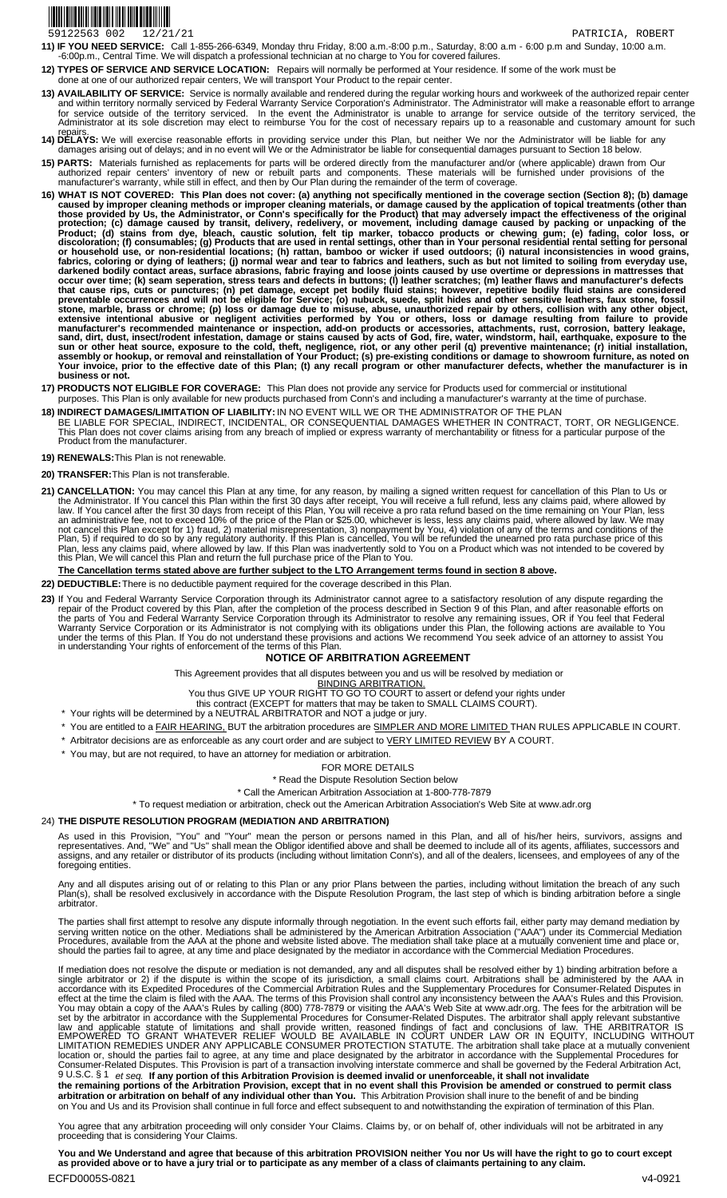# 

Call 1-855-266-6349, Monday thru Friday, 8:00 a.m.-8:00 p.m., Saturday, 8:00 a.m - 6:00 p.m and Sunday, 10:00 a.m. -6:00p.m., Central Time. We will dispatch a professional technician at no charge to You for covered failures. **11) IF YOU NEED SERVICE:** 

12) TYPES OF SERVICE AND SERVICE LOCATION: Repairs will normally be performed at Your residence. If some of the work must be done at one of our authorized repair centers, We will transport Your Product to the repair center.

- **13) AVAILABILITY OF SERVICE:** Service is normally available and rendered during the regular working hours and workweek of the authorized repair center and within territory normally serviced by Federal Warranty Service Corporation's Administrator. The Administrator will make a reasonable effort to arrange for service outside of the territory serviced. In the event the Administrator is unable to arrange for service outside of the territory serviced, the<br>Administrator at its sole discretion may elect to reimburse You for the
- repairs.<br>14) DELAYS: We will exercise reasonable efforts in providing service under this Plan, but neither We nor the Administrator will be liable for any<br>damages arising out of delays; and in no event will We or the Admin
- **PARTS:** Materials furnished as replacements for parts will be ordered directly from the manufacturer and/or (where applicable) drawn from Our<br>authorized repair centers' inventory of new or rebuilt parts and components. Th **15) PARTS:**
- manufacturer's warranty, while still in effect, and then by Our Plan during the remainder of the term of coverage. **WHAT IS NOT COVERED: This Plan does not cover: (a) anything not specifically mentioned in the coverage section (Section 8); (b) damage**  caused by improper cleaning methods or improper cleaning materials, or damage caused by the application of topical treatments (other than<br>those provided by Us, the Administrator, or Conn's specifically for the Product) tha Product; (d) stains from dye, bleach, caustic solution, felt tip marker, tobacco products or chewing gum; (e) fading, color loss, or<br>discoloration;(f) consumables; (g) Products that are used in rental settings, other than  fabrics, coloring or dying of leathers; (j) normal wear and tear to fabrics and leathers, such as but not limited to soiling from everyday use,<br>darkened bodily contact areas, surface abrasions, fabric fraying and loose joi that cause rips, cuts or punctures; (n) pet damage, except pet bodily fluid stains; however, repetitive bodily fluid stains are considered<br>preventable occurrences and will not be eligible for Service; (o) nubuck, suede, sp extensive intentional abusive or negligent activities performed by You or others, loss or damage resulting from failure to provide<br>manufacturer's recommended maintenance or inspection, add-on products or accessories, attac sun or other heat source, exposure to the cold, theft, negligence, riot, or any other peril (q) preventive maintenance; (r) initial installation,<br>assembly or hookup, or removal and reinstallation of Your Product; (s) pre-e **business or not. 16)**
- **17) PRODUCTS NOT ELIGIBLE FOR COVERAGE:** This Plan does not provide any service for Products used for commercial or institutional 17) PRODUCTS NOT ELIGIBLE FOR COVERAGE: This Plan does not provide any service for Products used for commercial or institutional purposes. This Plan is only available for new products purchased from Conn's and including a
- 
- BE LIABLE FOR SPECIAL, INDIRECT, INCIDENTAL, OR CONSEQUENTIAL DAMAGES WHETHER IN CONTRACT, TORT, OR NEGLIGENCE.<br>This Plan does not cover claims arising from any breach of implied or express warranty of merchantability or f Product from the manufacturer. **18) INDIRECT DAMAGES/LIMITATION OF LIABILITY:** IN NO EVENT WILL WE OR THE ADMINISTRATOR OF THE PLAN
- **19) RENEWALS:** This Plan is not renewable.

**20) TRANSFER:** This Plan is not transferable.

**CANCELLATION:** You may cancel this Plan at any time, for any reason, by mailing a signed written request for cancellation of this Plan to Us or<br>the Administrator. If You cancel this Plan within the first 30 days after rec an administrative fee, not to exceed 10% of the price of the Plan or \$25.00, whichever is less, less any claims paid, where allowed by law. We may<br>not cancel this Plan except for 1) fraud, 2) material misrepresentation, 3) Plan, less any claims paid, where allowed by law. If this Plan was inadvertently sold to You on a Product which was not intended to be covered by<br>this Plan, We will cancel this Plan and return the full purchase price of th **21) CANCELLATION:** 

#### **The Cancellation terms stated above are further subject to the LTO Arrangement terms found in section 8 above.**

**22) DEDUCTIBLE:** There is no deductible payment required for the coverage described in this Plan.

If You and Federal Warranty Service Corporation through its Administrator cannot agree to a satisfactory resolution of any dispute regarding the<br>repair of the Product covered by this Plan, after the completion of the proce Warranty Service Corporation or its Administrator is not complying with its obligations under this Plan, the following actions are available to You<br>under the terms of this Plan. If You do not understand these provisions an **23)** 

#### **NOTICE OF ARBITRATION AGREEMENT**

This Agreement provides that all disputes between you and us will be resolved by mediation or

BINDING ARBITRATION.

- You thus GIVE UP YOUR RIGHT TO GO TO COURT to assert or defend your rights under
	- this contract (EXCEPT for matters that may be taken to SMALL CLAIMS COURT).
- \* Your rights will be determined by a NEUTRAL ARBITRATOR and NOT a judge or jury.
- \* You are entitled to a FAIR HEARING, BUT the arbitration procedures are SIMPLER AND MORE LIMITED THAN RULES APPLICABLE IN COURT.
- \* Arbitrator decisions are as enforceable as any court order and are subject to VERY LIMITED REVIEW BY A COURT. \* You may, but are not required, to have an attorney for mediation or arbitration.
	-

# FOR MORE DETAILS

\* Read the Dispute Resolution Section below

\* Call the American Arbitration Association at 1-800-778-7879

\* To request mediation or arbitration, check out the American Arbitration Association's Web Site at www.adr.org

#### 24) **THE DISPUTE RESOLUTION PROGRAM (MEDIATION AND ARBITRATION)**

As used in this Provision, "You" and "Your" mean the person or persons named in this Plan, and all of his/her heirs, survivors, assigns and representatives. And, "We" and "Us" shall mean the Obligor identified above and shall be deemed to include all of its agents, affiliates, successors and<br>assigns, and any retailer or distributor of its products (including w

Any and all disputes arising out of or relating to this Plan or any prior Plans between the parties, including without limitation the breach of any such<br>Plan(s), shall be resolved exclusively in accordance with the Dispute arbitrator.

The parties shall first attempt to resolve any dispute informally through negotiation. In the event such efforts fail, either party may demand mediation by serving written notice on the other. Mediations shall be administered by the American Arbitration Association ("AAA") under its Commercial Mediation<br>Procedures, available from the AAA at the phone and website listed above.

If mediation does not resolve the dispute or mediation is not demanded, any and all disputes shall be resolved either by 1) binding arbitration before a<br>single arbitrator or 2) if the dispute is within the scope of its jur accordance with its Expedited Procedures of the Commercial Arbitration Rules and the Supplementary Procedures for Consumer-Related Disputes in<br>effect at the time the claim is filed with the AAA. The terms of this Provision set by the arbitrator in accordance with the Supplemental Procedures for Consumer-Related Disputes. The arbitrator shall apply relevant substantive<br>law and applicable statute of limitations and shall provide written, reaso LIMITATION REMEDIES UNDER ANY APPLICABLE CONSUMER PROTECTION STATUTE. The arbitration shall take place at a mutually convenient<br>location or, should the parties fail to agree, at any time and place designated by the arbitra 9 U.S.C. § 1 *et seq.* **If any portion of this Arbitration Provision is deemed invalid or unenforceable, it shall not invalidate the remaining portions of the Arbitration Provision, except that in no event shall this Provision be amended or construed to permit class** 

**arbitration or arbitration on behalf of any individual other than You.** This Arbitration Provision shall inure to the benefit of and be binding on You and Us and its Provision shall continue in full force and effect subsequent to and notwithstanding the expiration of termination of this Plan.

You agree that any arbitration proceeding will only consider Your Claims. Claims by, or on behalf of, other individuals will not be arbitrated in any proceeding that is considering Your Claims.

ECFD0005S-0821 v4-0921 You and We Understand and agree that because of this arbitration PROVISION neither You nor Us will have the right to go to court except<br>as provided above or to have a jury trial or to participate as any member of a class o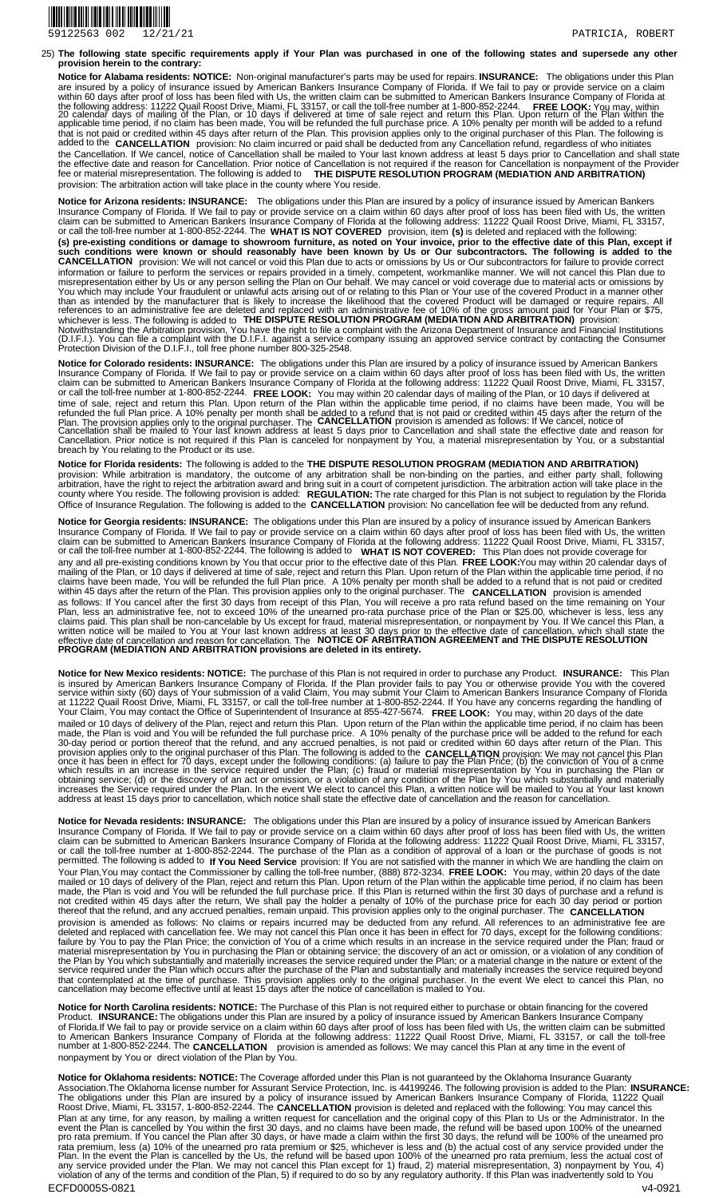

**The following state specific requirements apply if Your Plan was purchased in one of the following states and supersede any other provision herein to the contrary:**  25)

**Notice for Alabama residents: NOTICE:** Non-original manufacturer's parts may be used for repairs. **INSURANCE: FREE LOOK: CANCELLATION**  The obligations under this Plan are insured by a policy of insurance issued by American Bankers Insurance Company of Florida. If We fail to pay or provide service on a claim within 60 days after proof of loss has been filed with Us, the written claim can be submitted to American Bankers Insurance Company of Florida at<br>the following address: 11222 Quail Roost Drive, Miami, FL 33157, or call the that is not paid or credited within 45 days after return of the Plan. This provision applies only to the original purchaser of this Plan. The following is<br>added to the CANCELLATION provision: No claim incurred or paid sh the Cancellation. If We cancel, notice of Cancellation shall be mailed to Your last known address at least 5 days prior to Cancellation and shall state<br>the effective date and reason for Cancellation. Prior notice of Cancel provision: The arbitration action will take place in the county where You reside.

**Notice for Arizona residents: INSURANCE:** The obligations under this Plan are insured by a policy of insurance issued by American Bankers Insurance Company of Florida. If We fail to pay or provide service on a claim within 60 days after proof of loss has been filed with Us, the written claim can be submitted to American Bankers Insurance Company of Florida at the following address: 11222 Quail Roost Drive, Miami, FL 33157, or call the toll-free number at 1-800-852-2244. The **WHAT IS NOT COVERED**  (s) pre-existing conditions or damage to showroom furniture, as noted on Your invoice, prior to the effective date of this Plan, except if<br>such conditions were known or should reasonably have been known by Us or Our subcon information or failure to perform the services or repairs provided in a timely, competent, workmanlike manner. We will not cancel this Plan due to<br>misrepresentation either by Us or any person selling the Plan on Our behalf You which may include Your fraudulent or unlawful acts arising out of or relating to this Plan or Your use of the covered Product in a manner other<br>than as intended by the manufacturer that is likely to increase the likeli Notwithstanding the Arbitration provision, You have the right to file a complaint with the Arizona Department of Insurance and Financial Institutions<br>(D.I.F.I.). You can file a complaint with the D.I.F.I. against a service provision, item **(s)** is deleted and replaced with the following:

**Notice for Colorado residents: INSURANCE:** The obligations under this Plan are insured by a policy of insurance issued by American Bankers Insurance Company of Florida. If We fail to pay or provide service on a claim within 60 days after proof of loss has been filed with Us, the written claim can be submitted to American Bankers Insurance Company of Florida at the following address: 11222 Quail Roost Drive, Miami, FL 33157,<br>or call the toll-free number at 1-800-852-2244. **FREE LOOK:** You may within 20 cal time of sale, reject and return this Plan. Upon return of the Plan within the applicable time period, if no claims have been made, You will be<br>refunded the full Plan price. A 10% penalty per month shall be added to a refun breach by You relating to the Product or its use. You may within 20 calendar days of mailing of the Plan, or 10 days if delivered at

**Notice for Florida residents:** The following is added to the **THE DISPUTE RESOLUTION PROGRAM (MEDIATION AND ARBITRATION)**  provision: While arbitration is mandatory, the outcome of any arbitration shall be non-binding on the parties, and either party shall, following<br>arbitration, have the right to reject the arbitration award and bring suit in Office of Insurance Regulation. The following is added to the **CANCELLATION** provision: No cancellation fee will be deducted from any refund.

**Notice for Georgia residents: INSURANCE:** The obligations under this Plan are insured by a policy of insurance issued by American Bankers Insurance Company of Florida. If We fail to pay or provide service on a claim within 60 days after proof of loss has been filed with Us, the written claim can be submitted to American Bankers Insurance Company of Florida at the following address: 11222 Quail Roost Drive, Miami, FL 33157,<br>or call the toll-free number at 1-800-852-2244. The following is added to **WHAT IS** any and all pre-existing conditions known by You that occur prior to the effective date of this Plan. **FREE LOOK:** You may within 20 calendar days of mailing of the Plan, or 10 days if delivered at time of sale, reject and return this Plan. Upon return of the Plan within the applicable time period, if no claims have been made, You will be refunded the full Plan price. A 10% penalty per month shall be added to a refund that is not paid or credited<br>within 45 days after the return of the Plan. This provision applies only to t **NOTICE OF ARBITRATION AGREEMENT and THE DISPUTE RESOLUTION PROGRAM (MEDIATION AND ARBITRATION provisions are deleted in its entirety.**  as follows: If You cancel after the first 30 days from receipt of this Plan, You will receive a pro rata refund based on the time remaining on Your Plan, less an administrative fee, not to exceed 10% of the unearned pro-rata purchase price of the Plan or \$25.00, whichever is less, less any<br>claims paid. This plan shall be non-cancelable by Us except for fraud, material effective date of cancellation and reason for cancellation. The

**Notice for New Mexico residents: NOTICE:**  is insured by American Bankers Insurance Company of Florida. If the Plan provider fails to pay You or otherwise provide You with the covered<br>service within sixty (60) days of Your submission of a valid Claim, You may submi at 11222 Quail Roost Drive, Miami, FL 33157, or call the toll-free number at 1-800-852-2244. If You have any concerns regarding the handling of<br>Your Claim, You may contact the Office of Superintendent of Insurance at 855-4 mailed or 10 days of delivery of the Plan, reject and return this Plan. Upon return of the Plan within the applicable time period, if no claim has been<br>made, the Plan is void and You will be refunded the full purchase pric provision applies only to the original purchaser of this Plan. The following is added to the CANCELLATION provision: We may not cancel this Plan<br>once it has been in effect for 70 days, except under the following conditions increases the Service required under the Plan. In the event We elect to cancel this Plan, a written notice will be mailed to You at Your last known<br>address at least 15 days prior to cancellation, which notice shall state t The purchase of this Plan is not required in order to purchase any Product. **INSURANCE:** This Plan

**Notice for Nevada residents: INSURANCE:** The obligations under this Plan are insured by a policy of insurance issued by American Bankers Insurance Company of Florida. If We fail to pay or provide service on a claim within 60 days after proof of loss has been filed with Us, the written<br>claim can be submitted to American Bankers Insurance Company of Florida a permitted. The following is added to **If You Need Service** provision: If You are not satisfied with the manner in which We are handling the claim on Your Plan,You may contact the Commissioner by calling the toll-free number, (888) 872-3234. **FREE LOOK:** You may, within 20 days of the date mailed or 10 days of delivery of the Plan, reject and return this Plan. Upon return of the Plan within the applicable time period, if no claim has been<br>made, the Plan is void and You will be refunded the full purchase pric thereof that the refund, and any accrued penalties, remain unpaid. This provision applies only to the original purchaser. The **CANCELLATION**  provision is amended as follows: No claims or repairs incurred may be deducted from any refund. All references to an administrative fee are<br>deleted and replaced with cancellation fee. We may not cancel this Plan once it ha material misrepresentation by You in purchasing the Plan or obtaining service; the discovery of an act or omission, or a violation of any condition of<br>the Plan by You which substantially and materially increases the servic that contemplated at the time of purchase. This provision applies only to the original purchaser. In the event We elect to cancel this Plan, no<br>cancellation may become effective until at least 15 days after the notice of c

**Notice for North Carolina residents: NOTICE:** The Purchase of this Plan is not required either to purchase or obtain financing for the covered The obligations under this Plan are insured by a policy of insurance issued by American Bankers Insurance Company of Florida.If We fail to pay or provide service on a claim within 60 days after proof of loss has been filed with Us, the written claim can be submitted<br>to American Bankers Insurance Company of Florida at the following add nonpayment by You or direct violation of the Plan by You. Product. **INSURANCE:** 

**Notice for Oklahoma residents: NOTICE:**  The obligations under this Plan are insured by a policy of insurance issued by American Bankers Insurance Company of Florida, 11222 Quail<br>Roost Drive, Miami, FL 33157, 1-800-852-2244. The **CANCELLATION** provision is delete The Coverage afforded under this Plan is not guaranteed by the Oklahoma Insurance Guaranty Association.The Oklahoma license number for Assurant Service Protection, Inc. is 44199246. The following provision is added to the Plan: **INSURANCE: CANCELLATION** provision is deleted and replaced with the following: You may cancel this Plan at any time, for any reason, by mailing a written request for cancellation and the original copy of this Plan to Us or the Administrator. In the<br>event the Plan is cancelled by You within the first 30 days, and no clai rata premium, less (a) 10% of the unearned pro rata premium or \$25, whichever is less and (b) the actual cost of any service provided under the<br>Plan. In the event the Plan is cancelled by the Us, the refund will be based u violation of any of the terms and condition of the Plan, 5) if required to do so by any regulatory authority. If this Plan was inadvertently sold to You